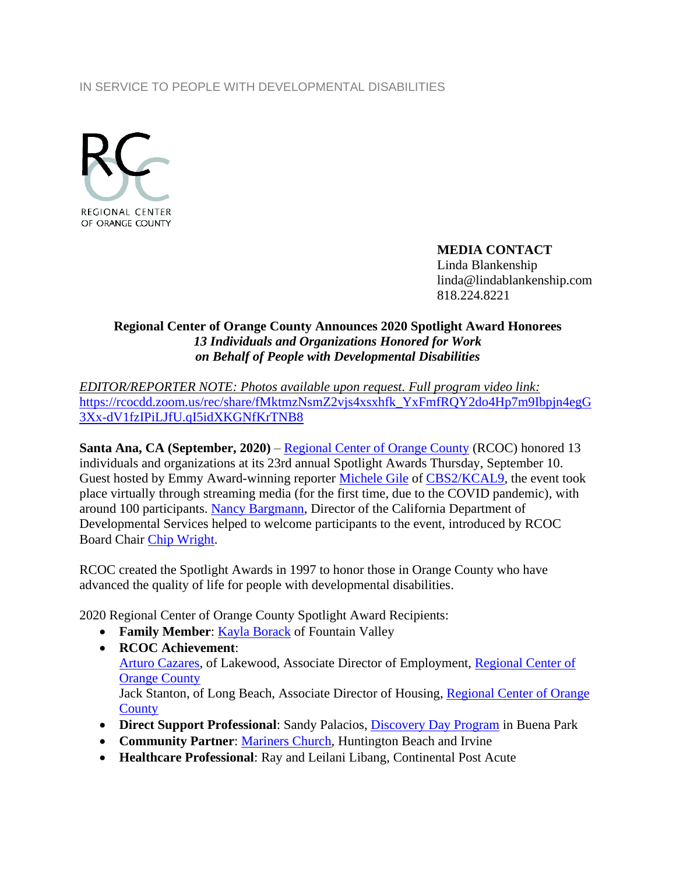## IN SERVICE TO PEOPLE WITH DEVELOPMENTAL DISABILITIES



## **MEDIA CONTACT**

Linda Blankenship linda@lindablankenship.com 818.224.8221

## **Regional Center of Orange County Announces 2020 Spotlight Award Honorees** *13 Individuals and Organizations Honored for Work on Behalf of People with Developmental Disabilities*

*EDITOR/REPORTER NOTE: Photos available upon request. Full program video link:*  [https://rcocdd.zoom.us/rec/share/fMktmzNsmZ2vjs4xsxhfk\\_YxFmfRQY2do4Hp7m9Ibpjn4egG](https://rcocdd.zoom.us/rec/share/fMktmzNsmZ2vjs4xsxhfk_YxFmfRQY2do4Hp7m9Ibpjn4egG3Xx-dV1fzIPiLJfU.qI5idXKGNfKrTNB8) [3Xx-dV1fzIPiLJfU.qI5idXKGNfKrTNB8](https://rcocdd.zoom.us/rec/share/fMktmzNsmZ2vjs4xsxhfk_YxFmfRQY2do4Hp7m9Ibpjn4egG3Xx-dV1fzIPiLJfU.qI5idXKGNfKrTNB8)

**Santa Ana, CA (September, 2020)** – [Regional Center of Orange County](http://www.rcocdd.com/) (RCOC) honored 13 individuals and organizations at its 23rd annual Spotlight Awards Thursday, September 10. Guest hosted by Emmy Award-winning reporter [Michele Gile](https://losangeles.cbslocal.com/personality/michele-gile/) of CBS2/KCAL9, the event took place virtually through streaming media (for the first time, due to the COVID pandemic), with around 100 participants. [Nancy Bargmann,](https://www.dds.ca.gov/general/news-room/director/) Director of the California Department of Developmental Services helped to welcome participants to the event, introduced by RCOC Board Chair [Chip Wright.](http://www.cbre.us/people-and-offices/chip-wright)

RCOC created the Spotlight Awards in 1997 to honor those in Orange County who have advanced the quality of life for people with developmental disabilities.

2020 Regional Center of Orange County Spotlight Award Recipients:

- **Family Member**: [Kayla Borack](https://www.linkedin.com/in/kayla-borack-686bb411a/) of Fountain Valley
- **RCOC Achievement**: [Arturo Cazares,](https://www.linkedin.com/in/arturo-cazares-3a4264189/) of Lakewood, Associate Director of Employment, [Regional Center of](https://www.rcocdd.com/)  [Orange County](https://www.rcocdd.com/) Jack Stanton, of Long Beach, Associate Director of Housing, [Regional Center of Orange](https://www.rcocdd.com/)  **[County](https://www.rcocdd.com/)**
- **Direct Support Professional**: Sandy Palacios, [Discovery Day Program](http://www.discoverydayprogram.com/welcome.html) in Buena Park
- **Community Partner**: [Mariners Church,](https://www.marinerschurch.org/) Huntington Beach and Irvine
- **Healthcare Professional**: Ray and Leilani Libang, Continental Post Acute